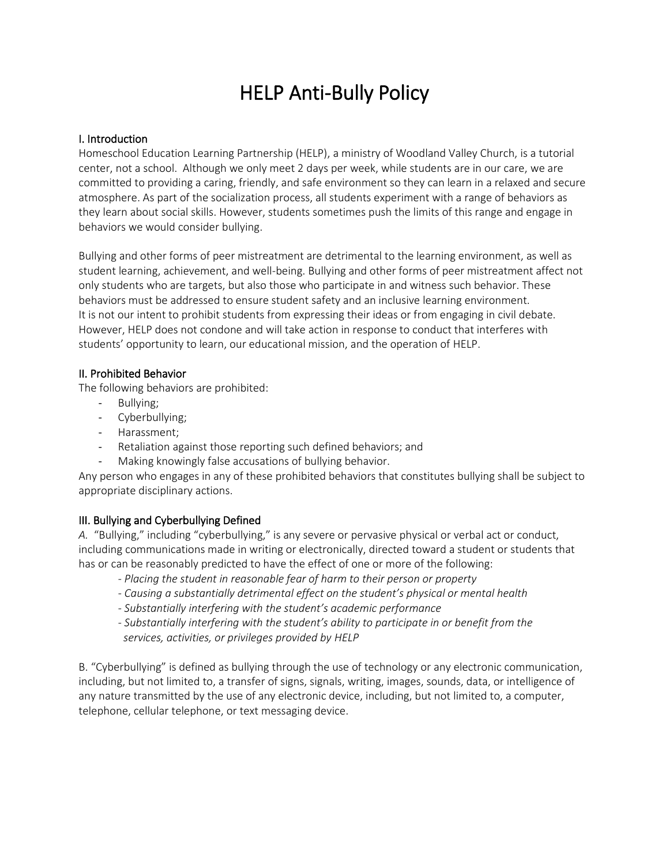# HELP Anti-Bully Policy

## I. Introduction

Homeschool Education Learning Partnership (HELP), a ministry of Woodland Valley Church, is a tutorial center, not a school. Although we only meet 2 days per week, while students are in our care, we are committed to providing a caring, friendly, and safe environment so they can learn in a relaxed and secure atmosphere. As part of the socialization process, all students experiment with a range of behaviors as they learn about social skills. However, students sometimes push the limits of this range and engage in behaviors we would consider bullying.

Bullying and other forms of peer mistreatment are detrimental to the learning environment, as well as student learning, achievement, and well-being. Bullying and other forms of peer mistreatment affect not only students who are targets, but also those who participate in and witness such behavior. These behaviors must be addressed to ensure student safety and an inclusive learning environment. It is not our intent to prohibit students from expressing their ideas or from engaging in civil debate. However, HELP does not condone and will take action in response to conduct that interferes with students' opportunity to learn, our educational mission, and the operation of HELP.

## II. Prohibited Behavior

The following behaviors are prohibited:

- Bullying;
- Cyberbullying;
- Harassment;
- Retaliation against those reporting such defined behaviors; and
- Making knowingly false accusations of bullying behavior.

Any person who engages in any of these prohibited behaviors that constitutes bullying shall be subject to appropriate disciplinary actions.

# III. Bullying and Cyberbullying Defined

*A.* "Bullying," including "cyberbullying," is any severe or pervasive physical or verbal act or conduct, including communications made in writing or electronically, directed toward a student or students that has or can be reasonably predicted to have the effect of one or more of the following:

- *- Placing the student in reasonable fear of harm to their person or property*
- *- Causing a substantially detrimental effect on the student's physical or mental health*
- *- Substantially interfering with the student's academic performance*
- *- Substantially interfering with the student's ability to participate in or benefit from the services, activities, or privileges provided by HELP*

B. "Cyberbullying" is defined as bullying through the use of technology or any electronic communication, including, but not limited to, a transfer of signs, signals, writing, images, sounds, data, or intelligence of any nature transmitted by the use of any electronic device, including, but not limited to, a computer, telephone, cellular telephone, or text messaging device.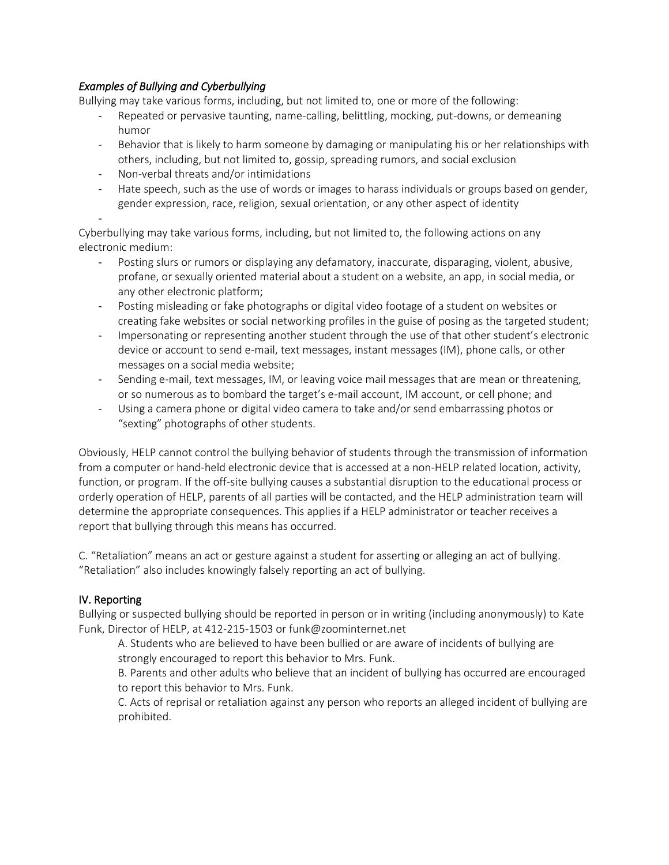# *Examples of Bullying and Cyberbullying*

Bullying may take various forms, including, but not limited to, one or more of the following:

- Repeated or pervasive taunting, name-calling, belittling, mocking, put-downs, or demeaning humor
- Behavior that is likely to harm someone by damaging or manipulating his or her relationships with others, including, but not limited to, gossip, spreading rumors, and social exclusion
- Non-verbal threats and/or intimidations
- Hate speech, such as the use of words or images to harass individuals or groups based on gender, gender expression, race, religion, sexual orientation, or any other aspect of identity
- -

Cyberbullying may take various forms, including, but not limited to, the following actions on any electronic medium:

- Posting slurs or rumors or displaying any defamatory, inaccurate, disparaging, violent, abusive, profane, or sexually oriented material about a student on a website, an app, in social media, or any other electronic platform;
- Posting misleading or fake photographs or digital video footage of a student on websites or creating fake websites or social networking profiles in the guise of posing as the targeted student;
- Impersonating or representing another student through the use of that other student's electronic device or account to send e-mail, text messages, instant messages (IM), phone calls, or other messages on a social media website;
- Sending e-mail, text messages, IM, or leaving voice mail messages that are mean or threatening, or so numerous as to bombard the target's e-mail account, IM account, or cell phone; and
- Using a camera phone or digital video camera to take and/or send embarrassing photos or "sexting" photographs of other students.

Obviously, HELP cannot control the bullying behavior of students through the transmission of information from a computer or hand-held electronic device that is accessed at a non-HELP related location, activity, function, or program. If the off-site bullying causes a substantial disruption to the educational process or orderly operation of HELP, parents of all parties will be contacted, and the HELP administration team will determine the appropriate consequences. This applies if a HELP administrator or teacher receives a report that bullying through this means has occurred.

C. "Retaliation" means an act or gesture against a student for asserting or alleging an act of bullying. "Retaliation" also includes knowingly falsely reporting an act of bullying.

# IV. Reporting

Bullying or suspected bullying should be reported in person or in writing (including anonymously) to Kate Funk, Director of HELP, at 412-215-1503 o[r funk@zoominternet.net](mailto:funk@zoominternet.net)

A. Students who are believed to have been bullied or are aware of incidents of bullying are strongly encouraged to report this behavior to Mrs. Funk.

B. Parents and other adults who believe that an incident of bullying has occurred are encouraged to report this behavior to Mrs. Funk.

C. Acts of reprisal or retaliation against any person who reports an alleged incident of bullying are prohibited.